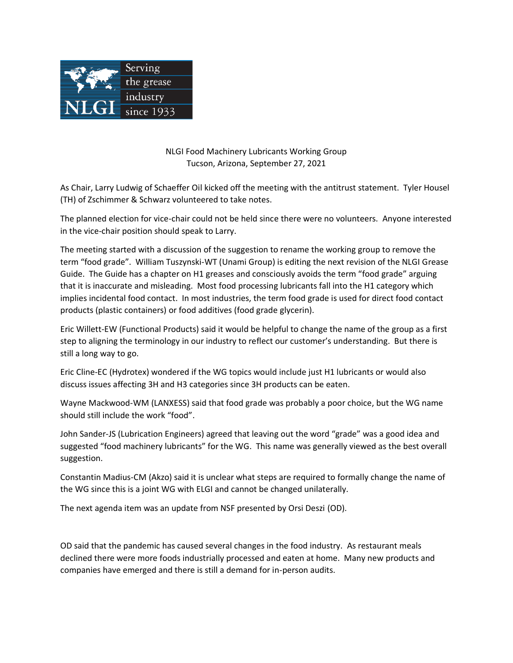

NLGI Food Machinery Lubricants Working Group Tucson, Arizona, September 27, 2021

As Chair, Larry Ludwig of Schaeffer Oil kicked off the meeting with the antitrust statement. Tyler Housel (TH) of Zschimmer & Schwarz volunteered to take notes.

The planned election for vice-chair could not be held since there were no volunteers. Anyone interested in the vice-chair position should speak to Larry.

The meeting started with a discussion of the suggestion to rename the working group to remove the term "food grade". William Tuszynski-WT (Unami Group) is editing the next revision of the NLGI Grease Guide. The Guide has a chapter on H1 greases and consciously avoids the term "food grade" arguing that it is inaccurate and misleading. Most food processing lubricants fall into the H1 category which implies incidental food contact. In most industries, the term food grade is used for direct food contact products (plastic containers) or food additives (food grade glycerin).

Eric Willett-EW (Functional Products) said it would be helpful to change the name of the group as a first step to aligning the terminology in our industry to reflect our customer's understanding. But there is still a long way to go.

Eric Cline-EC (Hydrotex) wondered if the WG topics would include just H1 lubricants or would also discuss issues affecting 3H and H3 categories since 3H products can be eaten.

Wayne Mackwood-WM (LANXESS) said that food grade was probably a poor choice, but the WG name should still include the work "food".

John Sander-JS (Lubrication Engineers) agreed that leaving out the word "grade" was a good idea and suggested "food machinery lubricants" for the WG. This name was generally viewed as the best overall suggestion.

Constantin Madius-CM (Akzo) said it is unclear what steps are required to formally change the name of the WG since this is a joint WG with ELGI and cannot be changed unilaterally.

The next agenda item was an update from NSF presented by Orsi Deszi (OD).

OD said that the pandemic has caused several changes in the food industry. As restaurant meals declined there were more foods industrially processed and eaten at home. Many new products and companies have emerged and there is still a demand for in-person audits.